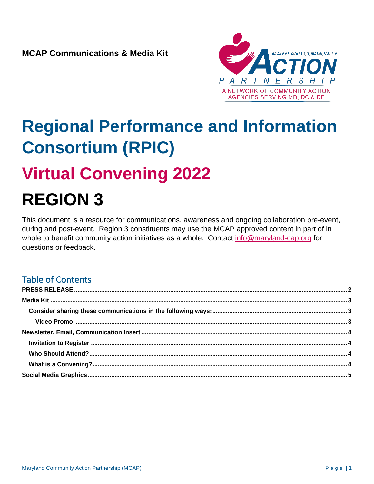

# **Regional Performance and Information Consortium (RPIC)**

## **Virtual Convening 2022**

## **REGION 3**

This document is a resource for communications, awareness and ongoing collaboration pre-event, during and post-event. Region 3 constituents may use the MCAP approved content in part of in whole to benefit community action initiatives as a whole. Contact [info@maryland-cap.org](mailto:info@maryland-cap.org) for questions or feedback.

## Table of Contents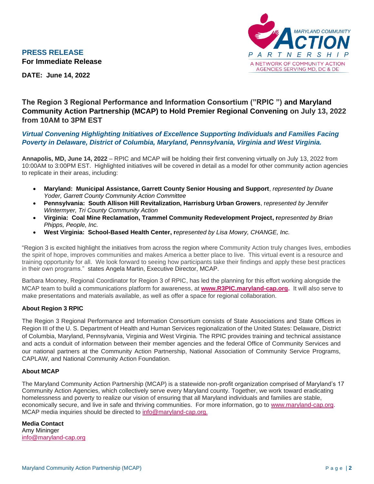<span id="page-1-0"></span>



**DATE: June 14, 2022**

#### **The Region 3 Regional Performance and Information Consortium ("RPIC ") and Maryland Community Action Partnership (MCAP) to Hold Premier Regional Convening on July 13, 2022 from 10AM to 3PM EST**

#### *Virtual Convening Highlighting Initiatives of Excellence Supporting Individuals and Families Facing Poverty in Delaware, District of Columbia, Maryland, Pennsylvania, Virginia and West Virginia.*

**Annapolis, MD, June 14, 2022** – RPIC and MCAP will be holding their first convening virtually on July 13, 2022 from 10:00AM to 3:00PM EST. Highlighted initiatives will be covered in detail as a model for other community action agencies to replicate in their areas, including:

- **Maryland: Municipal Assistance, Garrett County Senior Housing and Support**, *represented by Duane Yoder, Garrett County Community Action Committee*
- **Pennsylvania: South Allison Hill Revitalization, Harrisburg Urban Growers**, r*epresented by Jennifer Wintermyer, Tri County Community Action*
- **Virginia: Coal Mine Reclamation, Trammel Community Redevelopment Project, r***epresented by Brian Phipps, People, Inc.*
- **West Virginia: School-Based Health Center, r***epresented by Lisa Mowry, CHANGE, Inc.*

"Region 3 is excited highlight the initiatives from across the region where Community Action truly changes lives, embodies the spirit of hope, improves communities and makes America a better place to live. This virtual event is a resource and training opportunity for all. We look forward to seeing how participants take their findings and apply these best practices in their own programs." states Angela Martin, Executive Director, MCAP.

Barbara Mooney, Regional Coordinator for Region 3 of RPIC, has led the planning for this effort working alongside the MCAP team to build a communications platform for awareness, at **[www.R3PIC.maryland-cap.org.](http://www.r3pic.maryland-cap.org/)** It will also serve to make presentations and materials available, as well as offer a space for regional collaboration.

#### **About Region 3 RPIC**

The Region 3 Regional Performance and Information Consortium consists of State Associations and State Offices in Region III of the U. S. Department of Health and Human Services regionalization of the United States: Delaware, District of Columbia, Maryland, Pennsylvania, Virginia and West Virginia. The RPIC provides training and technical assistance and acts a conduit of information between their member agencies and the federal Office of Community Services and our national partners at the Community Action Partnership, National Association of Community Service Programs, CAPLAW, and National Community Action Foundation.

#### **About MCAP**

The Maryland Community Action Partnership (MCAP) is a statewide non-profit organization comprised of Maryland's 17 Community Action Agencies, which collectively serve every Maryland county. Together, we work toward eradicating homelessness and poverty to realize our vision of ensuring that all Maryland individuals and families are stable, economically secure, and live in safe and thriving communities. For more information, go to [www.maryland-cap.org.](http://www.maryland-cap.org/) MCAP media inquiries should be directed to [info@maryland-cap.org.](about:blank)

**Media Contact** Amy Mininger [info@maryland-cap.org](mailto:info@maryland-cap.org)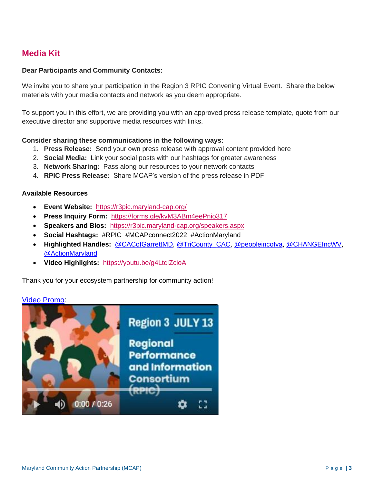## <span id="page-2-0"></span>**Media Kit**

#### **Dear Participants and Community Contacts:**

We invite you to share your participation in the Region 3 RPIC Convening Virtual Event. Share the below materials with your media contacts and network as you deem appropriate.

To support you in this effort, we are providing you with an approved press release template, quote from our executive director and supportive media resources with links.

#### <span id="page-2-1"></span>**Consider sharing these communications in the following ways:**

- 1. **Press Release:** Send your own press release with approval content provided here
- 2. **Social Media:** Link your social posts with our hashtags for greater awareness
- 3. **Network Sharing:** Pass along our resources to your network contacts
- 4. **RPIC Press Release:** Share MCAP's version of the press release in PDF

#### **Available Resources**

- **Event Website:** <https://r3pic.maryland-cap.org/>
- **Press Inquiry Form:** <https://forms.gle/kvM3ABm4eePnio317>
- **Speakers and Bios:** <https://r3pic.maryland-cap.org/speakers.aspx>
- **Social Hashtags:** #RPIC #MCAPconnect2022 #ActionMaryland
- **Highlighted Handles:** [@CACofGarrettMD,](https://twitter.com/CACofGarrettMD) [@TriCounty\\_CAC,](https://twitter.com/TriCounty_CAC) [@peopleincofva,](https://twitter.com/peopleincofva) [@CHANGEIncWV,](https://twitter.com/CHANGEIncWV) [@ActionMaryland](https://twitter.com/ActionMaryland)
- **Video Highlights:** <https://youtu.be/g4LtcIZcioA>

Thank you for your ecosystem partnership for community action!

#### <span id="page-2-2"></span>[Video Promo:](https://youtu.be/g4LtcIZcioA)

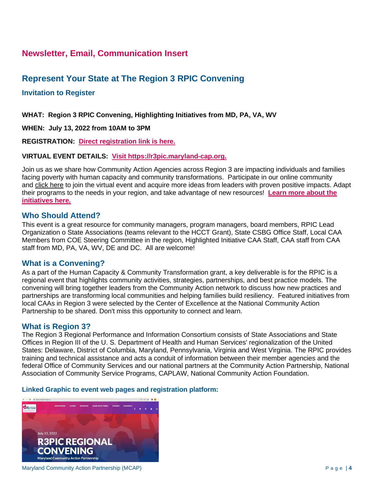### <span id="page-3-0"></span>**Newsletter, Email, Communication Insert**

### **Represent Your State at The Region 3 RPIC Convening**

#### <span id="page-3-1"></span>**Invitation to Register**

**WHAT: Region 3 RPIC Convening, Highlighting Initiatives from MD, PA, VA, WV**

**WHEN: July 13, 2022 from 10AM to 3PM** 

**REGISTRATION: [Direct registration link is here.](https://events.r20.constantcontact.com/register/eventReg?oeidk=a07ej22pxcd4d9e3a09&oseq=&c=&ch=)**

#### **VIRTUAL EVENT DETAILS: [Visit](https://r3pic.maryland-cap.org/) [https://r3pic.maryland-cap.org.](https://r3pic.maryland-cap.org/)**

Join us as we share how Community Action Agencies across Region 3 are impacting individuals and families facing poverty with human capacity and community transformations. Participate in our online community and [click here](http://www.r3pic@maryland-cap.org) to join the virtual event and acquire more ideas from leaders with proven positive impacts. Adapt their programs to the needs in your region, and take advantage of new resources! **[Learn more about the](https://r3pic.maryland-cap.org/R3PIC-Initiatives.aspx)  [initiatives here.](https://r3pic.maryland-cap.org/R3PIC-Initiatives.aspx)**

#### <span id="page-3-2"></span>**Who Should Attend?**

This event is a great resource for community managers, program managers, board members, RPIC Lead Organization o State Associations (teams relevant to the HCCT Grant), State CSBG Office Staff, Local CAA Members from COE Steering Committee in the region, Highlighted Initiative CAA Staff, CAA staff from CAA staff from MD, PA, VA, WV, DE and DC. All are welcome!

#### <span id="page-3-3"></span>**What is a Convening?**

As a part of the Human Capacity & Community Transformation grant, a key deliverable is for the RPIC is a regional event that highlights community activities, strategies, partnerships, and best practice models. The convening will bring together leaders from the Community Action network to discuss how new practices and partnerships are transforming local communities and helping families build resiliency. Featured initiatives from local CAAs in Region 3 were selected by the Center of Excellence at the National Community Action Partnership to be shared. Don't miss this opportunity to connect and learn.

#### **What is Region 3?**

The Region 3 Regional Performance and Information Consortium consists of State Associations and State Offices in Region III of the U. S. Department of Health and Human Services' regionalization of the United States: Delaware, District of Columbia, Maryland, Pennsylvania, Virginia and West Virginia. The RPIC provides training and technical assistance and acts a conduit of information between their member agencies and the federal Office of Community Services and our national partners at the Community Action Partnership, National Association of Community Service Programs, CAPLAW, National Community Action Foundation.

#### **Linked Graphic to event web pages and registration platform:**